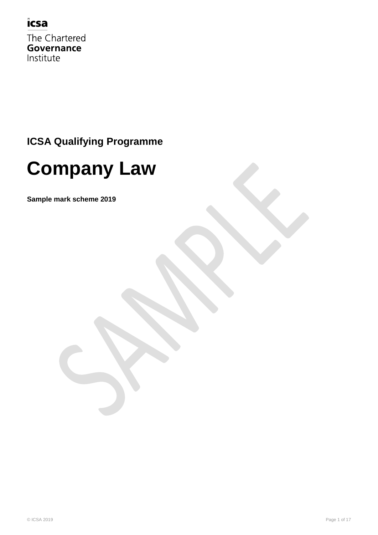#### icsa

The Chartered Governance Institute

### **ICSA Qualifying Programme**

# **Company Law**

**Sample mark scheme 2019**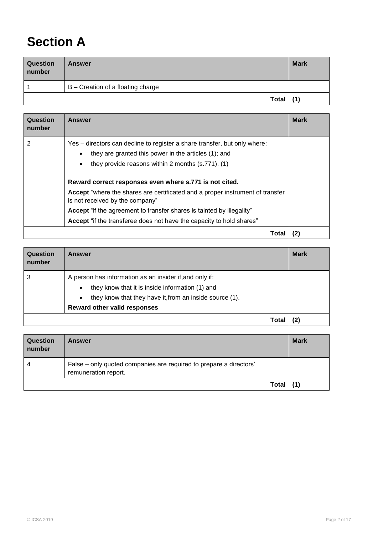## **Section A**

| <b>Question</b><br>number | <b>Answer</b>                     | <b>Mark</b> |
|---------------------------|-----------------------------------|-------------|
|                           | B - Creation of a floating charge |             |
|                           | <b>Total</b>                      | (1)         |

| Question<br>number | <b>Answer</b>                                                                                                    | <b>Mark</b> |
|--------------------|------------------------------------------------------------------------------------------------------------------|-------------|
| 2                  | Yes – directors can decline to register a share transfer, but only where:                                        |             |
|                    | they are granted this power in the articles (1); and                                                             |             |
|                    | they provide reasons within 2 months (s.771). (1)<br>$\bullet$                                                   |             |
|                    | Reward correct responses even where s.771 is not cited.                                                          |             |
|                    | Accept "where the shares are certificated and a proper instrument of transfer<br>is not received by the company" |             |
|                    | <b>Accept</b> "if the agreement to transfer shares is tainted by illegality"                                     |             |
|                    | Accept "if the transferee does not have the capacity to hold shares"                                             |             |
|                    | Tota                                                                                                             |             |

| Question<br>number | <b>Answer</b>                                                                                                                                                                                                                          | <b>Mark</b> |
|--------------------|----------------------------------------------------------------------------------------------------------------------------------------------------------------------------------------------------------------------------------------|-------------|
| 3                  | A person has information as an insider if, and only if:<br>they know that it is inside information (1) and<br>$\bullet$<br>they know that they have it, from an inside source (1).<br>$\bullet$<br><b>Reward other valid responses</b> |             |
|                    | Tota                                                                                                                                                                                                                                   |             |

| <b>Question</b><br>number | <b>Answer</b>                                                                              | <b>Mark</b> |
|---------------------------|--------------------------------------------------------------------------------------------|-------------|
|                           | False – only quoted companies are required to prepare a directors'<br>remuneration report. |             |
|                           | Total                                                                                      |             |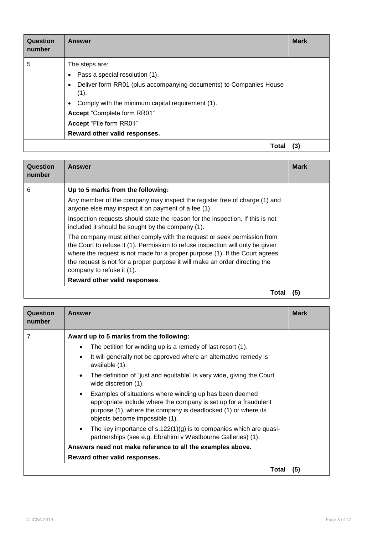| Question<br>number | <b>Answer</b>                                                                                                                                                                                                                                                                 | <b>Mark</b> |
|--------------------|-------------------------------------------------------------------------------------------------------------------------------------------------------------------------------------------------------------------------------------------------------------------------------|-------------|
| 5                  | The steps are:<br>Pass a special resolution (1).<br>Deliver form RR01 (plus accompanying documents) to Companies House<br>(1).<br>Comply with the minimum capital requirement (1).<br>Accept "Complete form RR01"<br>Accept "File form RR01"<br>Reward other valid responses. |             |
|                    | Total                                                                                                                                                                                                                                                                         | (3)         |

| Question<br>number | <b>Answer</b>                                                                                                                                                                                                                                                                                                                                        | <b>Mark</b> |
|--------------------|------------------------------------------------------------------------------------------------------------------------------------------------------------------------------------------------------------------------------------------------------------------------------------------------------------------------------------------------------|-------------|
| 6                  | Up to 5 marks from the following:                                                                                                                                                                                                                                                                                                                    |             |
|                    | Any member of the company may inspect the register free of charge (1) and<br>anyone else may inspect it on payment of a fee (1).                                                                                                                                                                                                                     |             |
|                    | Inspection requests should state the reason for the inspection. If this is not<br>included it should be sought by the company (1).                                                                                                                                                                                                                   |             |
|                    | The company must either comply with the request or seek permission from<br>the Court to refuse it (1). Permission to refuse inspection will only be given<br>where the request is not made for a proper purpose (1). If the Court agrees<br>the request is not for a proper purpose it will make an order directing the<br>company to refuse it (1). |             |
|                    | Reward other valid responses.                                                                                                                                                                                                                                                                                                                        |             |
|                    | Total                                                                                                                                                                                                                                                                                                                                                | (5)         |

| Question<br>number | <b>Answer</b>                                                                                                                                                                                                                  | <b>Mark</b> |
|--------------------|--------------------------------------------------------------------------------------------------------------------------------------------------------------------------------------------------------------------------------|-------------|
| 7                  | Award up to 5 marks from the following:                                                                                                                                                                                        |             |
|                    | The petition for winding up is a remedy of last resort (1).<br>$\bullet$                                                                                                                                                       |             |
|                    | It will generally not be approved where an alternative remedy is<br>$\bullet$<br>available (1).                                                                                                                                |             |
|                    | The definition of "just and equitable" is very wide, giving the Court<br>$\bullet$<br>wide discretion (1).                                                                                                                     |             |
|                    | Examples of situations where winding up has been deemed<br>appropriate include where the company is set up for a fraudulent<br>purpose (1), where the company is deadlocked (1) or where its<br>objects become impossible (1). |             |
|                    | The key importance of $s.122(1)(g)$ is to companies which are quasi-<br>$\bullet$<br>partnerships (see e.g. Ebrahimi v Westbourne Galleries) (1).                                                                              |             |
|                    | Answers need not make reference to all the examples above.                                                                                                                                                                     |             |
|                    | Reward other valid responses.                                                                                                                                                                                                  |             |
|                    | Total                                                                                                                                                                                                                          | (5)         |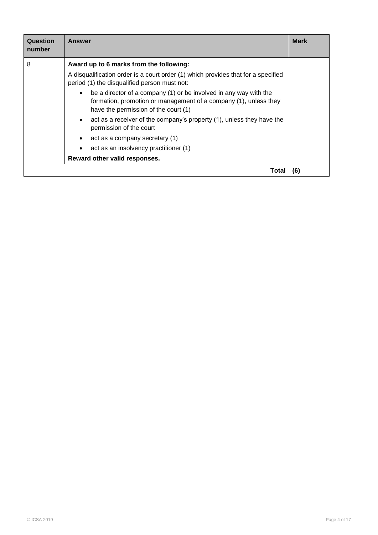| Question<br>number | <b>Answer</b>                                                                                                                                                                              | <b>Mark</b> |
|--------------------|--------------------------------------------------------------------------------------------------------------------------------------------------------------------------------------------|-------------|
| 8                  | Award up to 6 marks from the following:                                                                                                                                                    |             |
|                    | A disqualification order is a court order (1) which provides that for a specified<br>period (1) the disqualified person must not:                                                          |             |
|                    | be a director of a company (1) or be involved in any way with the<br>$\bullet$<br>formation, promotion or management of a company (1), unless they<br>have the permission of the court (1) |             |
|                    | act as a receiver of the company's property (1), unless they have the<br>permission of the court                                                                                           |             |
|                    | act as a company secretary (1)<br>٠                                                                                                                                                        |             |
|                    | act as an insolvency practitioner (1)<br>$\bullet$                                                                                                                                         |             |
|                    | Reward other valid responses.                                                                                                                                                              |             |
|                    | Total                                                                                                                                                                                      | (6)         |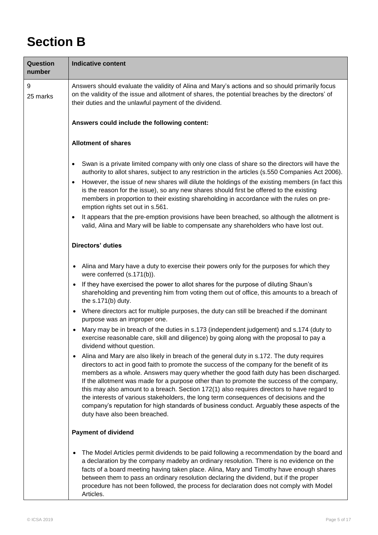## **Section B**

| Question<br>number | <b>Indicative content</b>                                                                                                                                                                                                                                                                                                                                                                                                                                                                                                                                                                                                                                                                                          |
|--------------------|--------------------------------------------------------------------------------------------------------------------------------------------------------------------------------------------------------------------------------------------------------------------------------------------------------------------------------------------------------------------------------------------------------------------------------------------------------------------------------------------------------------------------------------------------------------------------------------------------------------------------------------------------------------------------------------------------------------------|
| 9<br>25 marks      | Answers should evaluate the validity of Alina and Mary's actions and so should primarily focus<br>on the validity of the issue and allotment of shares, the potential breaches by the directors' of<br>their duties and the unlawful payment of the dividend.                                                                                                                                                                                                                                                                                                                                                                                                                                                      |
|                    | Answers could include the following content:                                                                                                                                                                                                                                                                                                                                                                                                                                                                                                                                                                                                                                                                       |
|                    | <b>Allotment of shares</b>                                                                                                                                                                                                                                                                                                                                                                                                                                                                                                                                                                                                                                                                                         |
|                    | Swan is a private limited company with only one class of share so the directors will have the<br>$\bullet$<br>authority to allot shares, subject to any restriction in the articles (s.550 Companies Act 2006).<br>However, the issue of new shares will dilute the holdings of the existing members (in fact this<br>$\bullet$<br>is the reason for the issue), so any new shares should first be offered to the existing<br>members in proportion to their existing shareholding in accordance with the rules on pre-<br>emption rights set out in s.561.                                                                                                                                                        |
|                    | It appears that the pre-emption provisions have been breached, so although the allotment is<br>$\bullet$<br>valid, Alina and Mary will be liable to compensate any shareholders who have lost out.                                                                                                                                                                                                                                                                                                                                                                                                                                                                                                                 |
|                    | Directors' duties                                                                                                                                                                                                                                                                                                                                                                                                                                                                                                                                                                                                                                                                                                  |
|                    | • Alina and Mary have a duty to exercise their powers only for the purposes for which they<br>were conferred (s.171(b)).                                                                                                                                                                                                                                                                                                                                                                                                                                                                                                                                                                                           |
|                    | If they have exercised the power to allot shares for the purpose of diluting Shaun's<br>$\bullet$<br>shareholding and preventing him from voting them out of office, this amounts to a breach of<br>the $s.171(b)$ duty.                                                                                                                                                                                                                                                                                                                                                                                                                                                                                           |
|                    | Where directors act for multiple purposes, the duty can still be breached if the dominant<br>$\bullet$<br>purpose was an improper one.                                                                                                                                                                                                                                                                                                                                                                                                                                                                                                                                                                             |
|                    | Mary may be in breach of the duties in s.173 (independent judgement) and s.174 (duty to<br>$\bullet$<br>exercise reasonable care, skill and diligence) by going along with the proposal to pay a<br>dividend without question.                                                                                                                                                                                                                                                                                                                                                                                                                                                                                     |
|                    | Alina and Mary are also likely in breach of the general duty in s.172. The duty requires<br>$\bullet$<br>directors to act in good faith to promote the success of the company for the benefit of its<br>members as a whole. Answers may query whether the good faith duty has been discharged.<br>If the allotment was made for a purpose other than to promote the success of the company,<br>this may also amount to a breach. Section 172(1) also requires directors to have regard to<br>the interests of various stakeholders, the long term consequences of decisions and the<br>company's reputation for high standards of business conduct. Arguably these aspects of the<br>duty have also been breached. |
|                    | <b>Payment of dividend</b>                                                                                                                                                                                                                                                                                                                                                                                                                                                                                                                                                                                                                                                                                         |
|                    | The Model Articles permit dividends to be paid following a recommendation by the board and<br>٠<br>a declaration by the company madeby an ordinary resolution. There is no evidence on the<br>facts of a board meeting having taken place. Alina, Mary and Timothy have enough shares<br>between them to pass an ordinary resolution declaring the dividend, but if the proper<br>procedure has not been followed, the process for declaration does not comply with Model<br>Articles.                                                                                                                                                                                                                             |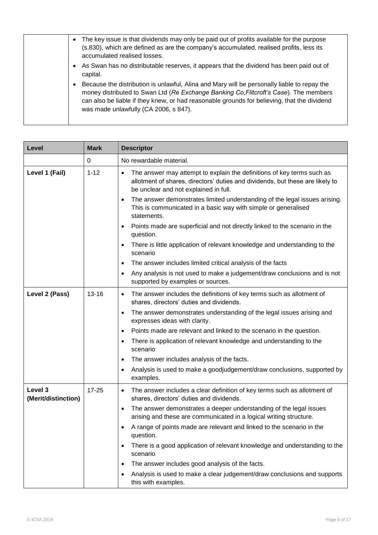| The key issue is that dividends may only be paid out of profits available for the purpose<br>(s.830), which are defined as are the company's accumulated, realised profits, less its<br>accumulated realised losses.                                                                                                         |
|------------------------------------------------------------------------------------------------------------------------------------------------------------------------------------------------------------------------------------------------------------------------------------------------------------------------------|
| As Swan has no distributable reserves, it appears that the dividend has been paid out of<br>capital.                                                                                                                                                                                                                         |
| Because the distribution is unlawful, Alina and Mary will be personally liable to repay the<br>money distributed to Swan Ltd (Re Exchange Banking Co, Flitcroft's Case). The members<br>can also be liable if they knew, or had reasonable grounds for believing, that the dividend<br>was made unlawfully (CA 2006, s 847). |

| Level                          | <b>Mark</b> | <b>Descriptor</b>                                                                                                                                                                                     |
|--------------------------------|-------------|-------------------------------------------------------------------------------------------------------------------------------------------------------------------------------------------------------|
|                                | 0           | No rewardable material.                                                                                                                                                                               |
| Level 1 (Fail)                 | $1 - 12$    | The answer may attempt to explain the definitions of key terms such as<br>٠<br>allotment of shares, directors' duties and dividends, but these are likely to<br>be unclear and not explained in full. |
|                                |             | The answer demonstrates limited understanding of the legal issues arising.<br>$\bullet$<br>This is communicated in a basic way with simple or generalised<br>statements.                              |
|                                |             | Points made are superficial and not directly linked to the scenario in the<br>question.                                                                                                               |
|                                |             | There is little application of relevant knowledge and understanding to the<br>scenario                                                                                                                |
|                                |             | The answer includes limited critical analysis of the facts<br>٠                                                                                                                                       |
|                                |             | Any analysis is not used to make a judgement/draw conclusions and is not<br>$\bullet$<br>supported by examples or sources.                                                                            |
| Level 2 (Pass)                 | $13 - 16$   | The answer includes the definitions of key terms such as allotment of<br>$\bullet$<br>shares, directors' duties and dividends.                                                                        |
|                                |             | The answer demonstrates understanding of the legal issues arising and<br>$\bullet$<br>expresses ideas with clarity.                                                                                   |
|                                |             | Points made are relevant and linked to the scenario in the question.<br>$\bullet$                                                                                                                     |
|                                |             | There is application of relevant knowledge and understanding to the<br>٠<br>scenario                                                                                                                  |
|                                |             | The answer includes analysis of the facts.<br>$\bullet$                                                                                                                                               |
|                                |             | Analysis is used to make a goodjudgement/draw conclusions, supported by<br>٠<br>examples.                                                                                                             |
| Level 3<br>(Merit/distinction) | $17 - 25$   | The answer includes a clear definition of key terms such as allotment of<br>٠<br>shares, directors' duties and dividends.                                                                             |
|                                |             | The answer demonstrates a deeper understanding of the legal issues<br>$\bullet$<br>arising and these are communicated in a logical writing structure.                                                 |
|                                |             | A range of points made are relevant and linked to the scenario in the<br>question.                                                                                                                    |
|                                |             | There is a good application of relevant knowledge and understanding to the<br>$\bullet$<br>scenario                                                                                                   |
|                                |             | The answer includes good analysis of the facts.<br>$\bullet$                                                                                                                                          |
|                                |             | Analysis is used to make a clear judgement/draw conclusions and supports<br>this with examples.                                                                                                       |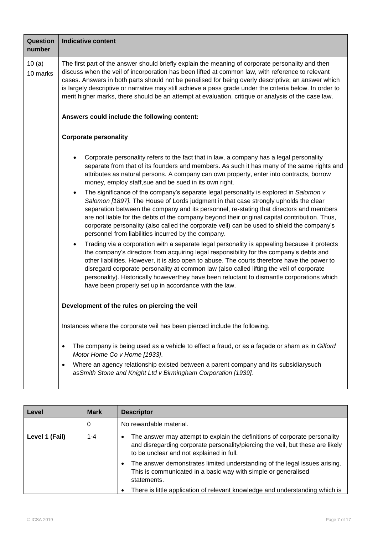| Question<br>number | <b>Indicative content</b>                                                                                                                                                                                                                                                                                                                                                                                                                                                                                                                                                                                                                                                                                                                                                                                                                                                                                                                                                                                                                                                                                                                                                                                                                                                                                                                                                     |
|--------------------|-------------------------------------------------------------------------------------------------------------------------------------------------------------------------------------------------------------------------------------------------------------------------------------------------------------------------------------------------------------------------------------------------------------------------------------------------------------------------------------------------------------------------------------------------------------------------------------------------------------------------------------------------------------------------------------------------------------------------------------------------------------------------------------------------------------------------------------------------------------------------------------------------------------------------------------------------------------------------------------------------------------------------------------------------------------------------------------------------------------------------------------------------------------------------------------------------------------------------------------------------------------------------------------------------------------------------------------------------------------------------------|
| 10(a)<br>10 marks  | The first part of the answer should briefly explain the meaning of corporate personality and then<br>discuss when the veil of incorporation has been lifted at common law, with reference to relevant<br>cases. Answers in both parts should not be penalised for being overly descriptive; an answer which<br>is largely descriptive or narrative may still achieve a pass grade under the criteria below. In order to<br>merit higher marks, there should be an attempt at evaluation, critique or analysis of the case law.                                                                                                                                                                                                                                                                                                                                                                                                                                                                                                                                                                                                                                                                                                                                                                                                                                                |
|                    | Answers could include the following content:                                                                                                                                                                                                                                                                                                                                                                                                                                                                                                                                                                                                                                                                                                                                                                                                                                                                                                                                                                                                                                                                                                                                                                                                                                                                                                                                  |
|                    | <b>Corporate personality</b>                                                                                                                                                                                                                                                                                                                                                                                                                                                                                                                                                                                                                                                                                                                                                                                                                                                                                                                                                                                                                                                                                                                                                                                                                                                                                                                                                  |
|                    | Corporate personality refers to the fact that in law, a company has a legal personality<br>separate from that of its founders and members. As such it has many of the same rights and<br>attributes as natural persons. A company can own property, enter into contracts, borrow<br>money, employ staff, sue and be sued in its own right.<br>The significance of the company's separate legal personality is explored in Salomon v<br>$\bullet$<br>Salomon [1897]. The House of Lords judgment in that case strongly upholds the clear<br>separation between the company and its personnel, re-stating that directors and members<br>are not liable for the debts of the company beyond their original capital contribution. Thus,<br>corporate personality (also called the corporate veil) can be used to shield the company's<br>personnel from liabilities incurred by the company.<br>Trading via a corporation with a separate legal personality is appealing because it protects<br>the company's directors from acquiring legal responsibility for the company's debts and<br>other liabilities. However, it is also open to abuse. The courts therefore have the power to<br>disregard corporate personality at common law (also called lifting the veil of corporate<br>personality). Historically howeverthey have been reluctant to dismantle corporations which |
|                    | have been properly set up in accordance with the law.                                                                                                                                                                                                                                                                                                                                                                                                                                                                                                                                                                                                                                                                                                                                                                                                                                                                                                                                                                                                                                                                                                                                                                                                                                                                                                                         |
|                    | Development of the rules on piercing the veil                                                                                                                                                                                                                                                                                                                                                                                                                                                                                                                                                                                                                                                                                                                                                                                                                                                                                                                                                                                                                                                                                                                                                                                                                                                                                                                                 |
|                    | Instances where the corporate veil has been pierced include the following.                                                                                                                                                                                                                                                                                                                                                                                                                                                                                                                                                                                                                                                                                                                                                                                                                                                                                                                                                                                                                                                                                                                                                                                                                                                                                                    |
|                    | The company is being used as a vehicle to effect a fraud, or as a façade or sham as in Gilford<br>Motor Home Co v Horne [1933].                                                                                                                                                                                                                                                                                                                                                                                                                                                                                                                                                                                                                                                                                                                                                                                                                                                                                                                                                                                                                                                                                                                                                                                                                                               |
|                    | Where an agency relationship existed between a parent company and its subsidiarysuch<br>$\bullet$<br>as Smith Stone and Knight Ltd v Birmingham Corporation [1939].                                                                                                                                                                                                                                                                                                                                                                                                                                                                                                                                                                                                                                                                                                                                                                                                                                                                                                                                                                                                                                                                                                                                                                                                           |

| Level          | <b>Mark</b> | <b>Descriptor</b>                                                                                                                                                                                                     |
|----------------|-------------|-----------------------------------------------------------------------------------------------------------------------------------------------------------------------------------------------------------------------|
|                | 0           | No rewardable material.                                                                                                                                                                                               |
| Level 1 (Fail) | 1-4         | The answer may attempt to explain the definitions of corporate personality<br>$\bullet$<br>and disregarding corporate personality/piercing the veil, but these are likely<br>to be unclear and not explained in full. |
|                |             | The answer demonstrates limited understanding of the legal issues arising.<br>This is communicated in a basic way with simple or generalised<br>statements.                                                           |
|                |             | There is little application of relevant knowledge and understanding which is                                                                                                                                          |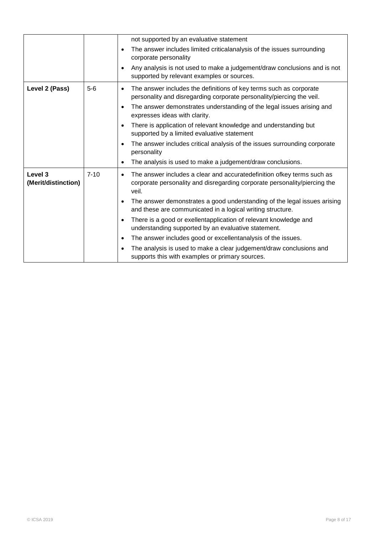|                                |          |           | not supported by an evaluative statement                                                                                                                     |
|--------------------------------|----------|-----------|--------------------------------------------------------------------------------------------------------------------------------------------------------------|
|                                |          | $\bullet$ | The answer includes limited criticalanalysis of the issues surrounding<br>corporate personality                                                              |
|                                |          | ٠         | Any analysis is not used to make a judgement/draw conclusions and is not<br>supported by relevant examples or sources.                                       |
| Level 2 (Pass)                 | $5-6$    | ٠         | The answer includes the definitions of key terms such as corporate<br>personality and disregarding corporate personality/piercing the veil.                  |
|                                |          | $\bullet$ | The answer demonstrates understanding of the legal issues arising and<br>expresses ideas with clarity.                                                       |
|                                |          | $\bullet$ | There is application of relevant knowledge and understanding but<br>supported by a limited evaluative statement                                              |
|                                |          |           | The answer includes critical analysis of the issues surrounding corporate<br>personality                                                                     |
|                                |          | ٠         | The analysis is used to make a judgement/draw conclusions.                                                                                                   |
| Level 3<br>(Merit/distinction) | $7 - 10$ | $\bullet$ | The answer includes a clear and accuratedefinition ofkey terms such as<br>corporate personality and disregarding corporate personality/piercing the<br>veil. |
|                                |          | $\bullet$ | The answer demonstrates a good understanding of the legal issues arising<br>and these are communicated in a logical writing structure.                       |
|                                |          | $\bullet$ | There is a good or exellentapplication of relevant knowledge and<br>understanding supported by an evaluative statement.                                      |
|                                |          | ٠         | The answer includes good or excellentanalysis of the issues.                                                                                                 |
|                                |          | $\bullet$ | The analysis is used to make a clear judgement/draw conclusions and<br>supports this with examples or primary sources.                                       |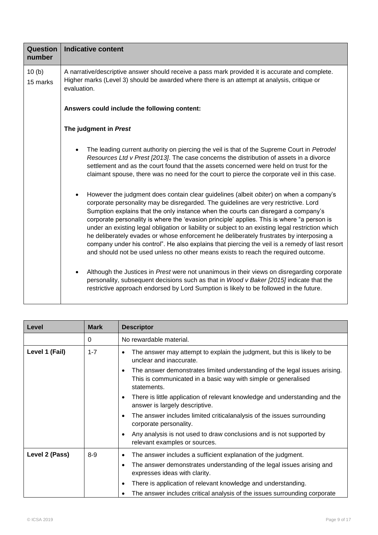| <b>Indicative content</b>                                                                                                                                                                                                                                                                                                                                                                                                                                                                                                                                                                                                                                                                                                                                                                                                                                                                                                                                                                                                                    |  |  |  |
|----------------------------------------------------------------------------------------------------------------------------------------------------------------------------------------------------------------------------------------------------------------------------------------------------------------------------------------------------------------------------------------------------------------------------------------------------------------------------------------------------------------------------------------------------------------------------------------------------------------------------------------------------------------------------------------------------------------------------------------------------------------------------------------------------------------------------------------------------------------------------------------------------------------------------------------------------------------------------------------------------------------------------------------------|--|--|--|
| A narrative/descriptive answer should receive a pass mark provided it is accurate and complete.<br>Higher marks (Level 3) should be awarded where there is an attempt at analysis, critique or<br>evaluation.                                                                                                                                                                                                                                                                                                                                                                                                                                                                                                                                                                                                                                                                                                                                                                                                                                |  |  |  |
| Answers could include the following content:                                                                                                                                                                                                                                                                                                                                                                                                                                                                                                                                                                                                                                                                                                                                                                                                                                                                                                                                                                                                 |  |  |  |
| The judgment in Prest                                                                                                                                                                                                                                                                                                                                                                                                                                                                                                                                                                                                                                                                                                                                                                                                                                                                                                                                                                                                                        |  |  |  |
| The leading current authority on piercing the veil is that of the Supreme Court in Petrodel<br>Resources Ltd v Prest [2013]. The case concerns the distribution of assets in a divorce<br>settlement and as the court found that the assets concerned were held on trust for the<br>claimant spouse, there was no need for the court to pierce the corporate veil in this case.                                                                                                                                                                                                                                                                                                                                                                                                                                                                                                                                                                                                                                                              |  |  |  |
| However the judgment does contain clear guidelines (albeit obiter) on when a company's<br>corporate personality may be disregarded. The guidelines are very restrictive. Lord<br>Sumption explains that the only instance when the courts can disregard a company's<br>corporate personality is where the 'evasion principle' applies. This is where "a person is<br>under an existing legal obligation or liability or subject to an existing legal restriction which<br>he deliberately evades or whose enforcement he deliberately frustrates by interposing a<br>company under his control". He also explains that piercing the veil is a remedy of last resort<br>and should not be used unless no other means exists to reach the required outcome.<br>Although the Justices in Prest were not unanimous in their views on disregarding corporate<br>personality, subsequent decisions such as that in Wood v Baker [2015] indicate that the<br>restrictive approach endorsed by Lord Sumption is likely to be followed in the future. |  |  |  |
|                                                                                                                                                                                                                                                                                                                                                                                                                                                                                                                                                                                                                                                                                                                                                                                                                                                                                                                                                                                                                                              |  |  |  |

| Level          | <b>Mark</b> | <b>Descriptor</b>                                                                                                                                                |
|----------------|-------------|------------------------------------------------------------------------------------------------------------------------------------------------------------------|
|                | 0           | No rewardable material.                                                                                                                                          |
| Level 1 (Fail) | $1 - 7$     | The answer may attempt to explain the judgment, but this is likely to be<br>unclear and inaccurate.                                                              |
|                |             | The answer demonstrates limited understanding of the legal issues arising.<br>٠<br>This is communicated in a basic way with simple or generalised<br>statements. |
|                |             | There is little application of relevant knowledge and understanding and the<br>٠<br>answer is largely descriptive.                                               |
|                |             | The answer includes limited criticalanalysis of the issues surrounding<br>corporate personality.                                                                 |
|                |             | Any analysis is not used to draw conclusions and is not supported by<br>$\bullet$<br>relevant examples or sources.                                               |
| Level 2 (Pass) | $8 - 9$     | The answer includes a sufficient explanation of the judgment.<br>$\bullet$                                                                                       |
|                |             | The answer demonstrates understanding of the legal issues arising and<br>٠<br>expresses ideas with clarity.                                                      |
|                |             | There is application of relevant knowledge and understanding.<br>$\bullet$                                                                                       |
|                |             | The answer includes critical analysis of the issues surrounding corporate                                                                                        |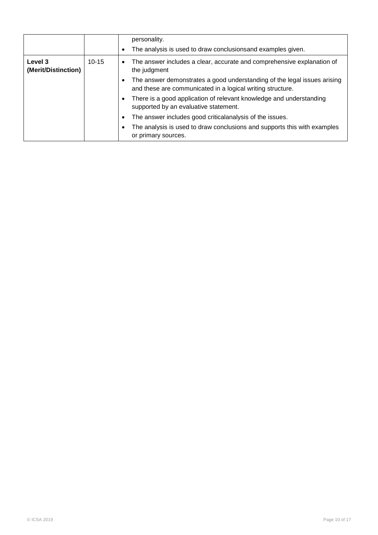|                                |           |           | personality.<br>The analysis is used to draw conclusionsand examples given.                                                            |
|--------------------------------|-----------|-----------|----------------------------------------------------------------------------------------------------------------------------------------|
| Level 3<br>(Merit/Distinction) | $10 - 15$ | $\bullet$ | The answer includes a clear, accurate and comprehensive explanation of<br>the judgment                                                 |
|                                |           |           | The answer demonstrates a good understanding of the legal issues arising<br>and these are communicated in a logical writing structure. |
|                                |           |           | There is a good application of relevant knowledge and understanding<br>supported by an evaluative statement.                           |
|                                |           | ٠         | The answer includes good criticalanalysis of the issues.                                                                               |
|                                |           |           | The analysis is used to draw conclusions and supports this with examples<br>or primary sources.                                        |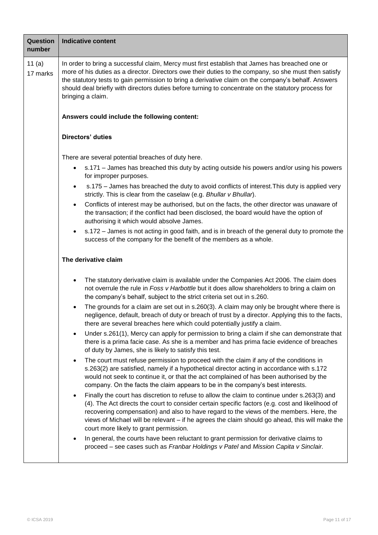| <b>Question</b><br>number | <b>Indicative content</b>                                                                                                                                                                                                                                                                                                                                                                                                                            |
|---------------------------|------------------------------------------------------------------------------------------------------------------------------------------------------------------------------------------------------------------------------------------------------------------------------------------------------------------------------------------------------------------------------------------------------------------------------------------------------|
| 11 $(a)$<br>17 marks      | In order to bring a successful claim, Mercy must first establish that James has breached one or<br>more of his duties as a director. Directors owe their duties to the company, so she must then satisfy<br>the statutory tests to gain permission to bring a derivative claim on the company's behalf. Answers<br>should deal briefly with directors duties before turning to concentrate on the statutory process for<br>bringing a claim.         |
|                           | Answers could include the following content:                                                                                                                                                                                                                                                                                                                                                                                                         |
|                           | <b>Directors' duties</b>                                                                                                                                                                                                                                                                                                                                                                                                                             |
|                           | There are several potential breaches of duty here.                                                                                                                                                                                                                                                                                                                                                                                                   |
|                           | s.171 - James has breached this duty by acting outside his powers and/or using his powers<br>for improper purposes.                                                                                                                                                                                                                                                                                                                                  |
|                           | s.175 - James has breached the duty to avoid conflicts of interest. This duty is applied very<br>$\bullet$<br>strictly. This is clear from the caselaw (e.g. Bhullar v Bhullar).                                                                                                                                                                                                                                                                     |
|                           | Conflicts of interest may be authorised, but on the facts, the other director was unaware of<br>$\bullet$<br>the transaction; if the conflict had been disclosed, the board would have the option of<br>authorising it which would absolve James.                                                                                                                                                                                                    |
|                           | s.172 – James is not acting in good faith, and is in breach of the general duty to promote the<br>success of the company for the benefit of the members as a whole.                                                                                                                                                                                                                                                                                  |
|                           | The derivative claim                                                                                                                                                                                                                                                                                                                                                                                                                                 |
|                           | The statutory derivative claim is available under the Companies Act 2006. The claim does<br>$\bullet$<br>not overrule the rule in Foss v Harbottle but it does allow shareholders to bring a claim on<br>the company's behalf, subject to the strict criteria set out in s.260.                                                                                                                                                                      |
|                           | The grounds for a claim are set out in s.260(3). A claim may only be brought where there is<br>negligence, default, breach of duty or breach of trust by a director. Applying this to the facts,<br>there are several breaches here which could potentially justify a claim.                                                                                                                                                                         |
|                           | Under s.261(1), Mercy can apply for permission to bring a claim if she can demonstrate that<br>there is a prima facie case. As she is a member and has prima facie evidence of breaches<br>of duty by James, she is likely to satisfy this test.                                                                                                                                                                                                     |
|                           | The court must refuse permission to proceed with the claim if any of the conditions in<br>$\bullet$<br>s.263(2) are satisfied, namely if a hypothetical director acting in accordance with s.172<br>would not seek to continue it, or that the act complained of has been authorised by the<br>company. On the facts the claim appears to be in the company's best interests.                                                                        |
|                           | Finally the court has discretion to refuse to allow the claim to continue under s.263(3) and<br>$\bullet$<br>(4). The Act directs the court to consider certain specific factors (e.g. cost and likelihood of<br>recovering compensation) and also to have regard to the views of the members. Here, the<br>views of Michael will be relevant - if he agrees the claim should go ahead, this will make the<br>court more likely to grant permission. |
|                           | In general, the courts have been reluctant to grant permission for derivative claims to<br>proceed - see cases such as Franbar Holdings v Patel and Mission Capita v Sinclair.                                                                                                                                                                                                                                                                       |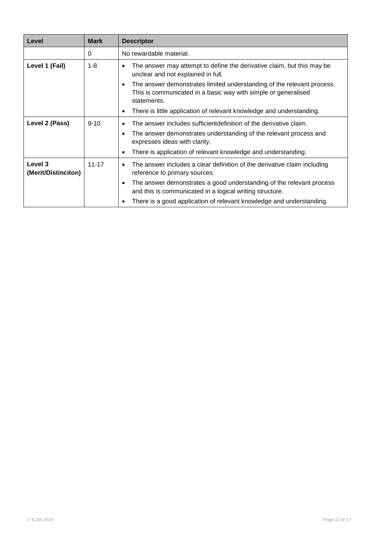| Level                          | <b>Mark</b> | <b>Descriptor</b>                                                                                                                                            |
|--------------------------------|-------------|--------------------------------------------------------------------------------------------------------------------------------------------------------------|
|                                | 0           | No rewardable material.                                                                                                                                      |
| Level 1 (Fail)                 | $1 - 8$     | The answer may attempt to define the derivative claim, but this may be<br>unclear and not explained in full.                                                 |
|                                |             | The answer demonstrates limited understanding of the relevant process.<br>٠<br>This is communicated in a basic way with simple or generalised<br>statements. |
|                                |             | There is little application of relevant knowledge and understanding.                                                                                         |
| Level 2 (Pass)                 | $9 - 10$    | The answer includes sufficient definition of the derivative claim.<br>٠                                                                                      |
|                                |             | The answer demonstrates understanding of the relevant process and<br>expresses ideas with clarity.                                                           |
|                                |             | There is application of relevant knowledge and understanding.<br>٠                                                                                           |
| Level 3<br>(Merit/Distinciton) | $11 - 17$   | The answer includes a clear definition of the derivative claim including<br>٠<br>reference to primary sources.                                               |
|                                |             | The answer demonstrates a good understanding of the relevant process<br>$\bullet$<br>and this is communicated in a logical writing structure.                |
|                                |             | There is a good application of relevant knowledge and understanding.                                                                                         |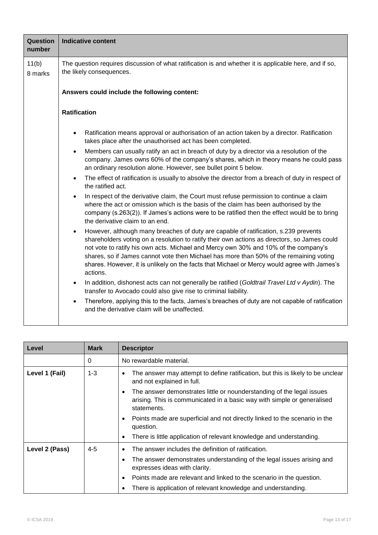| Question<br>number | <b>Indicative content</b>                                                                                                                                                                                                                                                                                                                                                                                                                                                                    |  |  |  |  |
|--------------------|----------------------------------------------------------------------------------------------------------------------------------------------------------------------------------------------------------------------------------------------------------------------------------------------------------------------------------------------------------------------------------------------------------------------------------------------------------------------------------------------|--|--|--|--|
| 11(b)<br>8 marks   | The question requires discussion of what ratification is and whether it is applicable here, and if so,<br>the likely consequences.                                                                                                                                                                                                                                                                                                                                                           |  |  |  |  |
|                    | Answers could include the following content:                                                                                                                                                                                                                                                                                                                                                                                                                                                 |  |  |  |  |
|                    | <b>Ratification</b>                                                                                                                                                                                                                                                                                                                                                                                                                                                                          |  |  |  |  |
|                    | Ratification means approval or authorisation of an action taken by a director. Ratification<br>takes place after the unauthorised act has been completed.                                                                                                                                                                                                                                                                                                                                    |  |  |  |  |
|                    | Members can usually ratify an act in breach of duty by a director via a resolution of the<br>$\bullet$<br>company. James owns 60% of the company's shares, which in theory means he could pass<br>an ordinary resolution alone. However, see bullet point 5 below.                                                                                                                                                                                                                           |  |  |  |  |
|                    | The effect of ratification is usually to absolve the director from a breach of duty in respect of<br>$\bullet$<br>the ratified act.                                                                                                                                                                                                                                                                                                                                                          |  |  |  |  |
|                    | In respect of the derivative claim, the Court must refuse permission to continue a claim<br>$\bullet$<br>where the act or omission which is the basis of the claim has been authorised by the<br>company (s.263(2)). If James's actions were to be ratified then the effect would be to bring<br>the derivative claim to an end.                                                                                                                                                             |  |  |  |  |
|                    | However, although many breaches of duty are capable of ratification, s.239 prevents<br>$\bullet$<br>shareholders voting on a resolution to ratify their own actions as directors, so James could<br>not vote to ratify his own acts. Michael and Mercy own 30% and 10% of the company's<br>shares, so if James cannot vote then Michael has more than 50% of the remaining voting<br>shares. However, it is unlikely on the facts that Michael or Mercy would agree with James's<br>actions. |  |  |  |  |
|                    | In addition, dishonest acts can not generally be ratified (Goldtrail Travel Ltd v Aydin). The<br>$\bullet$<br>transfer to Avocado could also give rise to criminal liability.                                                                                                                                                                                                                                                                                                                |  |  |  |  |
|                    | Therefore, applying this to the facts, James's breaches of duty are not capable of ratification<br>and the derivative claim will be unaffected.                                                                                                                                                                                                                                                                                                                                              |  |  |  |  |

| Level          | <b>Mark</b> | <b>Descriptor</b>                                                                                                                                               |
|----------------|-------------|-----------------------------------------------------------------------------------------------------------------------------------------------------------------|
|                | 0           | No rewardable material.                                                                                                                                         |
| Level 1 (Fail) | $1 - 3$     | The answer may attempt to define ratification, but this is likely to be unclear<br>and not explained in full.                                                   |
|                |             | The answer demonstrates little or nounderstanding of the legal issues<br>arising. This is communicated in a basic way with simple or generalised<br>statements. |
|                |             | Points made are superficial and not directly linked to the scenario in the<br>question.                                                                         |
|                |             | There is little application of relevant knowledge and understanding.                                                                                            |
| Level 2 (Pass) | $4 - 5$     | The answer includes the definition of ratification.                                                                                                             |
|                |             | The answer demonstrates understanding of the legal issues arising and<br>expresses ideas with clarity.                                                          |
|                |             | Points made are relevant and linked to the scenario in the question.                                                                                            |
|                |             | There is application of relevant knowledge and understanding.                                                                                                   |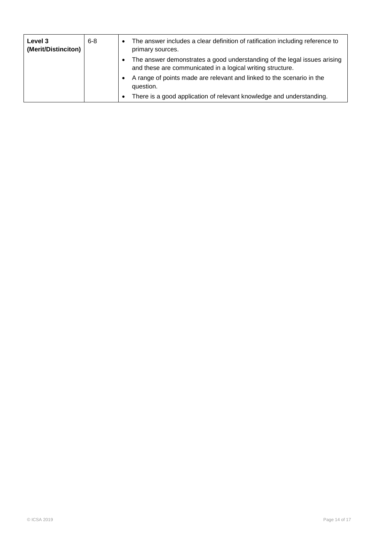| Level 3<br>(Merit/Distinciton) | $6 - 8$ | $\bullet$ | The answer includes a clear definition of ratification including reference to<br>primary sources.                                      |
|--------------------------------|---------|-----------|----------------------------------------------------------------------------------------------------------------------------------------|
|                                |         |           | The answer demonstrates a good understanding of the legal issues arising<br>and these are communicated in a logical writing structure. |
|                                |         |           | A range of points made are relevant and linked to the scenario in the<br>question.                                                     |
|                                |         | $\bullet$ | There is a good application of relevant knowledge and understanding.                                                                   |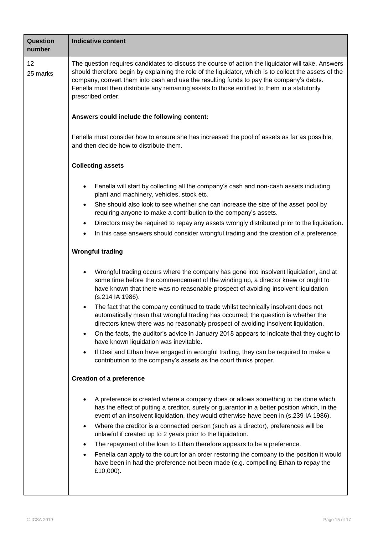| <b>Question</b><br>number | <b>Indicative content</b>                                                                                                                                                                                                                                                                                                                                                                                                   |  |  |  |  |
|---------------------------|-----------------------------------------------------------------------------------------------------------------------------------------------------------------------------------------------------------------------------------------------------------------------------------------------------------------------------------------------------------------------------------------------------------------------------|--|--|--|--|
| 12<br>25 marks            | The question requires candidates to discuss the course of action the liquidator will take. Answers<br>should therefore begin by explaining the role of the liquidator, which is to collect the assets of the<br>company, convert them into cash and use the resulting funds to pay the company's debts.<br>Fenella must then distribute any remaning assets to those entitled to them in a statutorily<br>prescribed order. |  |  |  |  |
|                           | Answers could include the following content:                                                                                                                                                                                                                                                                                                                                                                                |  |  |  |  |
|                           | Fenella must consider how to ensure she has increased the pool of assets as far as possible,<br>and then decide how to distribute them.                                                                                                                                                                                                                                                                                     |  |  |  |  |
|                           | <b>Collecting assets</b>                                                                                                                                                                                                                                                                                                                                                                                                    |  |  |  |  |
|                           | Fenella will start by collecting all the company's cash and non-cash assets including<br>$\bullet$<br>plant and machinery, vehicles, stock etc.                                                                                                                                                                                                                                                                             |  |  |  |  |
|                           | She should also look to see whether she can increase the size of the asset pool by<br>$\bullet$<br>requiring anyone to make a contribution to the company's assets.                                                                                                                                                                                                                                                         |  |  |  |  |
|                           | Directors may be required to repay any assets wrongly distributed prior to the liquidation.<br>In this case answers should consider wrongful trading and the creation of a preference.                                                                                                                                                                                                                                      |  |  |  |  |
|                           | <b>Wrongful trading</b>                                                                                                                                                                                                                                                                                                                                                                                                     |  |  |  |  |
|                           | Wrongful trading occurs where the company has gone into insolvent liquidation, and at<br>$\bullet$<br>some time before the commencement of the winding up, a director knew or ought to<br>have known that there was no reasonable prospect of avoiding insolvent liquidation<br>(s.214 IA 1986).                                                                                                                            |  |  |  |  |
|                           | The fact that the company continued to trade whilst technically insolvent does not<br>automatically mean that wrongful trading has occurred; the question is whether the<br>directors knew there was no reasonably prospect of avoiding insolvent liquidation.                                                                                                                                                              |  |  |  |  |
|                           | On the facts, the auditor's advice in January 2018 appears to indicate that they ought to<br>$\bullet$<br>have known liquidation was inevitable.                                                                                                                                                                                                                                                                            |  |  |  |  |
|                           | If Desi and Ethan have engaged in wrongful trading, they can be required to make a<br>$\bullet$<br>contributrion to the company's assets as the court thinks proper.                                                                                                                                                                                                                                                        |  |  |  |  |
|                           | <b>Creation of a preference</b>                                                                                                                                                                                                                                                                                                                                                                                             |  |  |  |  |
|                           | A preference is created where a company does or allows something to be done which<br>has the effect of putting a creditor, surety or guarantor in a better position which, in the<br>event of an insolvent liquidation, they would otherwise have been in (s.239 IA 1986).                                                                                                                                                  |  |  |  |  |
|                           | Where the creditor is a connected person (such as a director), preferences will be<br>$\bullet$<br>unlawful if created up to 2 years prior to the liquidation.                                                                                                                                                                                                                                                              |  |  |  |  |
|                           | The repayment of the loan to Ethan therefore appears to be a preference.                                                                                                                                                                                                                                                                                                                                                    |  |  |  |  |
|                           | Fenella can apply to the court for an order restoring the company to the position it would<br>have been in had the preference not been made (e.g. compelling Ethan to repay the<br>£10,000).                                                                                                                                                                                                                                |  |  |  |  |
|                           |                                                                                                                                                                                                                                                                                                                                                                                                                             |  |  |  |  |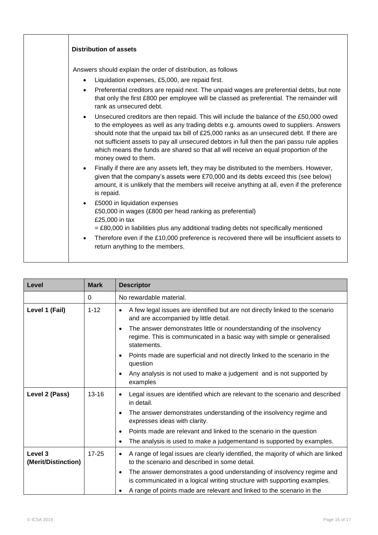| Answers should explain the order of distribution, as follows<br>Liquidation expenses, £5,000, are repaid first.<br>$\bullet$<br>Preferential creditors are repaid next. The unpaid wages are preferential debts, but note<br>that only the first £800 per employee will be classed as preferential. The remainder will<br>rank as unsecured debt.<br>Unsecured creditors are then repaid. This will include the balance of the £50,000 owed<br>to the employees as well as any trading debts e.g. amounts owed to suppliers. Answers<br>should note that the unpaid tax bill of £25,000 ranks as an unsecured debt. If there are<br>not sufficient assets to pay all unsecured debtors in full then the pari passu rule applies<br>which means the funds are shared so that all will receive an equal proportion of the<br>money owed to them.<br>Finally if there are any assets left, they may be distributed to the members. However,<br>given that the company's assets were £70,000 and its debts exceed this (see below)<br>amount, it is unlikely that the members will receive anything at all, even if the preference<br>is repaid.<br>£5000 in liquidation expenses<br>$\bullet$<br>£50,000 in wages (£800 per head ranking as preferential)<br>£25,000 in tax<br>$=$ £80,000 in liabilities plus any additional trading debts not specifically mentioned<br>Therefore even if the £10,000 preference is recovered there will be insufficient assets to<br>return anything to the members. | <b>Distribution of assets</b> |
|------------------------------------------------------------------------------------------------------------------------------------------------------------------------------------------------------------------------------------------------------------------------------------------------------------------------------------------------------------------------------------------------------------------------------------------------------------------------------------------------------------------------------------------------------------------------------------------------------------------------------------------------------------------------------------------------------------------------------------------------------------------------------------------------------------------------------------------------------------------------------------------------------------------------------------------------------------------------------------------------------------------------------------------------------------------------------------------------------------------------------------------------------------------------------------------------------------------------------------------------------------------------------------------------------------------------------------------------------------------------------------------------------------------------------------------------------------------------------------------------------|-------------------------------|
|                                                                                                                                                                                                                                                                                                                                                                                                                                                                                                                                                                                                                                                                                                                                                                                                                                                                                                                                                                                                                                                                                                                                                                                                                                                                                                                                                                                                                                                                                                      |                               |

| Level                          | <b>Mark</b> | <b>Descriptor</b>                                                                                                                                                         |
|--------------------------------|-------------|---------------------------------------------------------------------------------------------------------------------------------------------------------------------------|
|                                | 0           | No rewardable material.                                                                                                                                                   |
| Level 1 (Fail)                 | $1 - 12$    | A few legal issues are identified but are not directly linked to the scenario<br>$\bullet$<br>and are accompanied by little detail.                                       |
|                                |             | The answer demonstrates little or nounderstanding of the insolvency<br>$\bullet$<br>regime. This is communicated in a basic way with simple or generalised<br>statements. |
|                                |             | Points made are superficial and not directly linked to the scenario in the<br>$\bullet$<br>question                                                                       |
|                                |             | Any analysis is not used to make a judgement and is not supported by<br>$\bullet$<br>examples                                                                             |
| Level 2 (Pass)                 | $13 - 16$   | Legal issues are identified which are relevant to the scenario and described<br>$\bullet$<br>in detail.                                                                   |
|                                |             | The answer demonstrates understanding of the insolvency regime and<br>$\bullet$<br>expresses ideas with clarity.                                                          |
|                                |             | Points made are relevant and linked to the scenario in the question<br>$\bullet$                                                                                          |
|                                |             | The analysis is used to make a judgementand is supported by examples.<br>$\bullet$                                                                                        |
| Level 3<br>(Merit/Distinction) | $17 - 25$   | A range of legal issues are clearly identified, the majority of which are linked<br>$\bullet$<br>to the scenario and described in some detail.                            |
|                                |             | The answer demonstrates a good understanding of insolvency regime and<br>$\bullet$<br>is communicated in a logical writing structure with supporting examples.            |
|                                |             | A range of points made are relevant and linked to the scenario in the                                                                                                     |